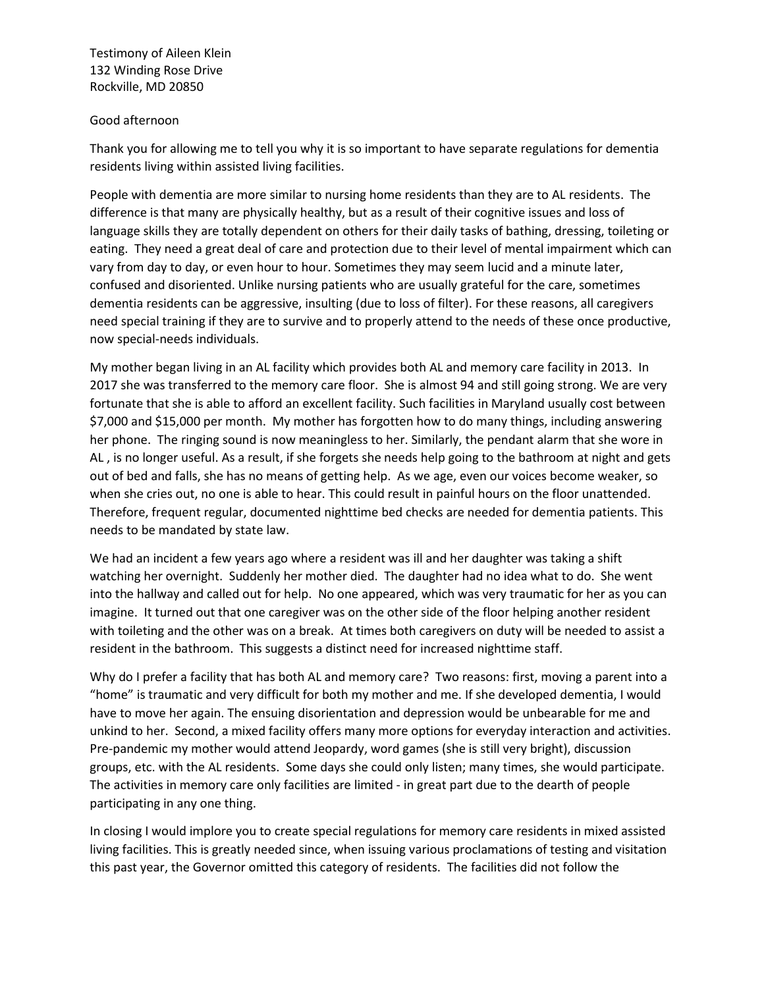Testimony of Aileen Klein 132 Winding Rose Drive Rockville, MD 20850

## Good afternoon

Thank you for allowing me to tell you why it is so important to have separate regulations for dementia residents living within assisted living facilities.

People with dementia are more similar to nursing home residents than they are to AL residents. The difference is that many are physically healthy, but as a result of their cognitive issues and loss of language skills they are totally dependent on others for their daily tasks of bathing, dressing, toileting or eating. They need a great deal of care and protection due to their level of mental impairment which can vary from day to day, or even hour to hour. Sometimes they may seem lucid and a minute later, confused and disoriented. Unlike nursing patients who are usually grateful for the care, sometimes dementia residents can be aggressive, insulting (due to loss of filter). For these reasons, all caregivers need special training if they are to survive and to properly attend to the needs of these once productive, now special-needs individuals.

My mother began living in an AL facility which provides both AL and memory care facility in 2013. In 2017 she was transferred to the memory care floor. She is almost 94 and still going strong. We are very fortunate that she is able to afford an excellent facility. Such facilities in Maryland usually cost between \$7,000 and \$15,000 per month. My mother has forgotten how to do many things, including answering her phone. The ringing sound is now meaningless to her. Similarly, the pendant alarm that she wore in AL , is no longer useful. As a result, if she forgets she needs help going to the bathroom at night and gets out of bed and falls, she has no means of getting help. As we age, even our voices become weaker, so when she cries out, no one is able to hear. This could result in painful hours on the floor unattended. Therefore, frequent regular, documented nighttime bed checks are needed for dementia patients. This needs to be mandated by state law.

We had an incident a few years ago where a resident was ill and her daughter was taking a shift watching her overnight. Suddenly her mother died. The daughter had no idea what to do. She went into the hallway and called out for help. No one appeared, which was very traumatic for her as you can imagine. It turned out that one caregiver was on the other side of the floor helping another resident with toileting and the other was on a break. At times both caregivers on duty will be needed to assist a resident in the bathroom. This suggests a distinct need for increased nighttime staff.

Why do I prefer a facility that has both AL and memory care? Two reasons: first, moving a parent into a "home" is traumatic and very difficult for both my mother and me. If she developed dementia, I would have to move her again. The ensuing disorientation and depression would be unbearable for me and unkind to her. Second, a mixed facility offers many more options for everyday interaction and activities. Pre-pandemic my mother would attend Jeopardy, word games (she is still very bright), discussion groups, etc. with the AL residents. Some days she could only listen; many times, she would participate. The activities in memory care only facilities are limited - in great part due to the dearth of people participating in any one thing.

In closing I would implore you to create special regulations for memory care residents in mixed assisted living facilities. This is greatly needed since, when issuing various proclamations of testing and visitation this past year, the Governor omitted this category of residents. The facilities did not follow the